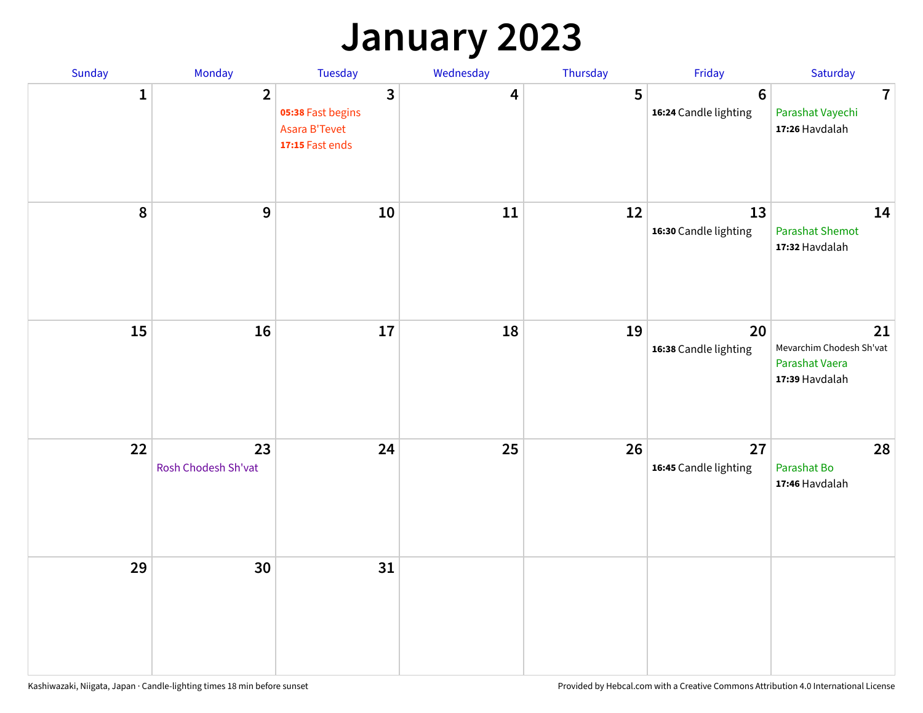### **January 2023**

| Sunday    | Monday                    | Tuesday                                                                        | Wednesday | Thursday | Friday                                  | Saturday                                                           |
|-----------|---------------------------|--------------------------------------------------------------------------------|-----------|----------|-----------------------------------------|--------------------------------------------------------------------|
| 1         | $\overline{2}$            | $\overline{3}$<br>05:38 Fast begins<br><b>Asara B'Tevet</b><br>17:15 Fast ends | 4         | 5        | $6\phantom{1}$<br>16:24 Candle lighting | $\overline{7}$<br>Parashat Vayechi<br>17:26 Havdalah               |
| $\pmb{8}$ | 9                         | 10                                                                             | 11        | 12       | 13<br>16:30 Candle lighting             | 14<br><b>Parashat Shemot</b><br>17:32 Havdalah                     |
| 15        | 16                        | 17                                                                             | 18        | 19       | 20<br>16:38 Candle lighting             | 21<br>Mevarchim Chodesh Sh'vat<br>Parashat Vaera<br>17:39 Havdalah |
| 22        | 23<br>Rosh Chodesh Sh'vat | 24                                                                             | 25        | 26       | 27<br>16:45 Candle lighting             | 28<br>Parashat Bo<br>17:46 Havdalah                                |
| 29        | 30                        | 31                                                                             |           |          |                                         |                                                                    |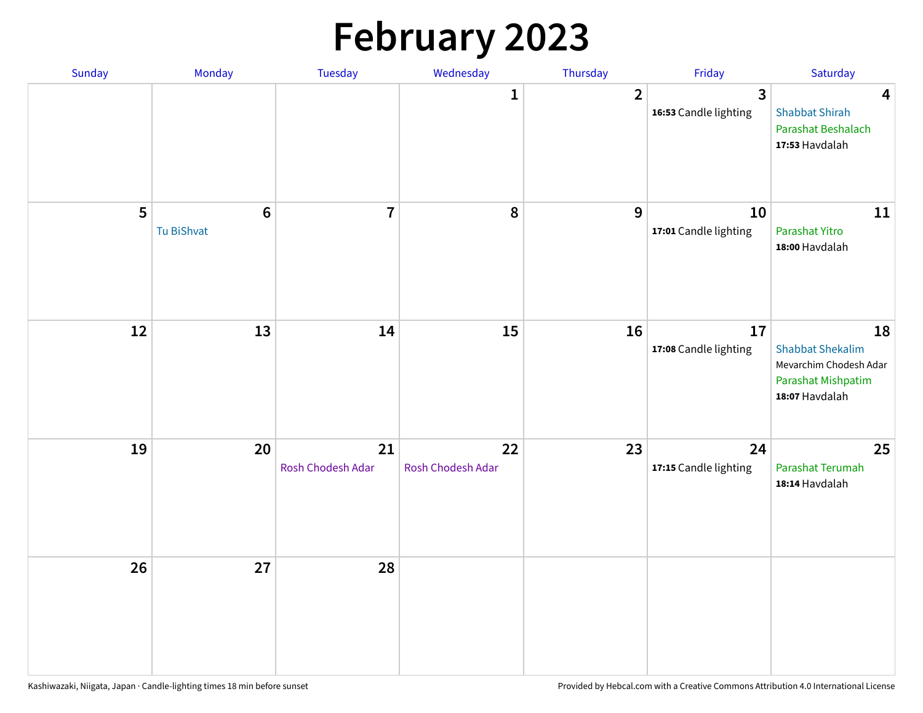# **February 2023**

| Sunday | Monday                        | Tuesday                 | Wednesday               | Thursday       | Friday                                  | Saturday                                                                                        |
|--------|-------------------------------|-------------------------|-------------------------|----------------|-----------------------------------------|-------------------------------------------------------------------------------------------------|
|        |                               |                         | 1                       | $\overline{2}$ | $\overline{3}$<br>16:53 Candle lighting | $\overline{\mathbf{4}}$<br><b>Shabbat Shirah</b><br>Parashat Beshalach<br>17:53 Havdalah        |
| 5      | $6\phantom{1}6$<br>Tu BiShvat | $\overline{7}$          | 8                       | 9              | 10<br>17:01 Candle lighting             | 11<br>Parashat Yitro<br>18:00 Havdalah                                                          |
| 12     | 13                            | 14                      | 15                      | 16             | 17<br>17:08 Candle lighting             | 18<br><b>Shabbat Shekalim</b><br>Mevarchim Chodesh Adar<br>Parashat Mishpatim<br>18:07 Havdalah |
| 19     | 20                            | 21<br>Rosh Chodesh Adar | 22<br>Rosh Chodesh Adar | 23             | 24<br>17:15 Candle lighting             | 25<br>Parashat Terumah<br>18:14 Havdalah                                                        |
| 26     | 27                            | 28                      |                         |                |                                         |                                                                                                 |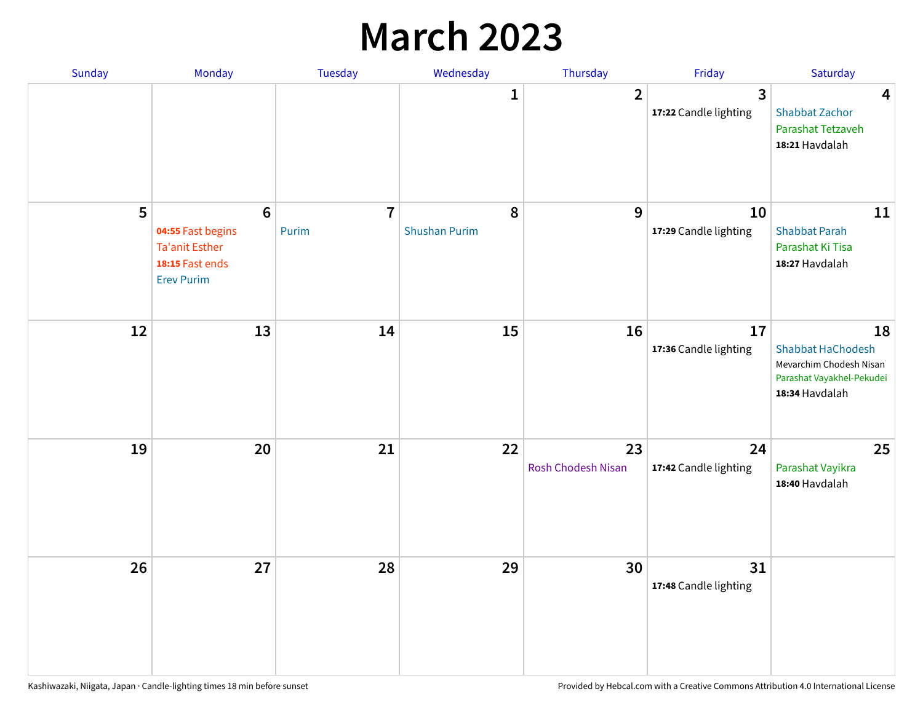### **March 2023**

| Sunday | Monday                                                                                                | Tuesday                 | Wednesday                 | Thursday                        | Friday                      | Saturday                                                                                                 |
|--------|-------------------------------------------------------------------------------------------------------|-------------------------|---------------------------|---------------------------------|-----------------------------|----------------------------------------------------------------------------------------------------------|
|        |                                                                                                       |                         | 1                         | $\overline{2}$                  | 3<br>17:22 Candle lighting  | $\overline{4}$<br><b>Shabbat Zachor</b><br>Parashat Tetzaveh<br>18:21 Havdalah                           |
| 5      | $6\phantom{1}6$<br>04:55 Fast begins<br><b>Ta'anit Esther</b><br>18:15 Fast ends<br><b>Erev Purim</b> | $\overline{7}$<br>Purim | 8<br><b>Shushan Purim</b> | 9                               | 10<br>17:29 Candle lighting | 11<br><b>Shabbat Parah</b><br>Parashat Ki Tisa<br>18:27 Havdalah                                         |
| 12     | 13                                                                                                    | 14                      | 15                        | 16                              | 17<br>17:36 Candle lighting | 18<br><b>Shabbat HaChodesh</b><br>Mevarchim Chodesh Nisan<br>Parashat Vayakhel-Pekudei<br>18:34 Havdalah |
| 19     | 20                                                                                                    | 21                      | 22                        | 23<br><b>Rosh Chodesh Nisan</b> | 24<br>17:42 Candle lighting | 25<br>Parashat Vayikra<br>18:40 Havdalah                                                                 |
| 26     | 27                                                                                                    | 28                      | 29                        | 30                              | 31<br>17:48 Candle lighting |                                                                                                          |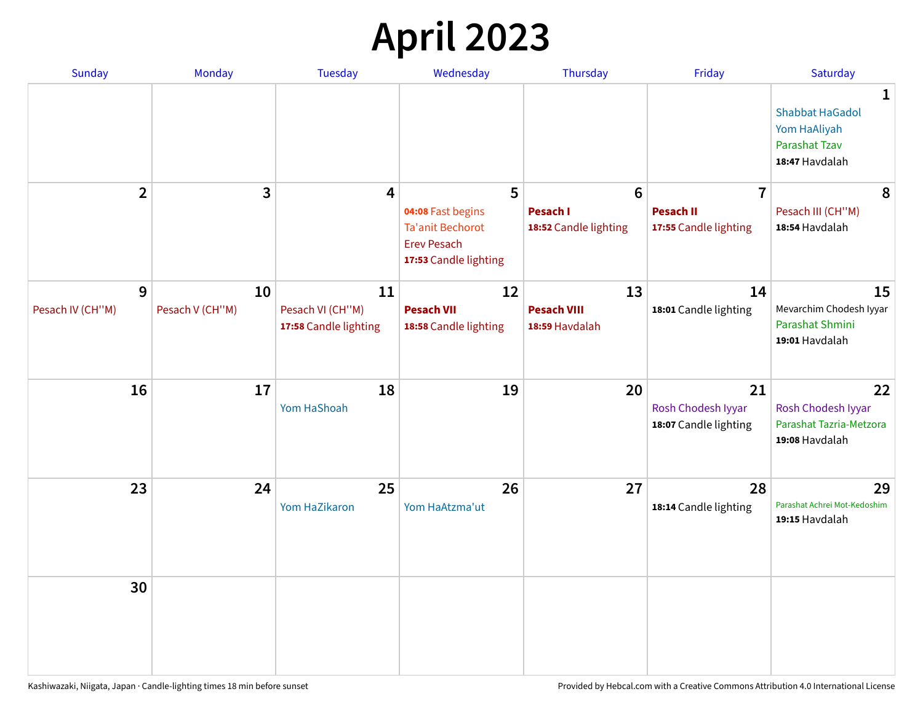## **April 2023**

| Sunday                | <b>Monday</b>         | <b>Tuesday</b>                                  | Wednesday                                                              | Thursday                                   | Friday                                            | Saturday                                                                       |
|-----------------------|-----------------------|-------------------------------------------------|------------------------------------------------------------------------|--------------------------------------------|---------------------------------------------------|--------------------------------------------------------------------------------|
|                       |                       |                                                 |                                                                        |                                            |                                                   | 1<br><b>Shabbat HaGadol</b><br>Yom HaAliyah<br>Parashat Tzav<br>18:47 Havdalah |
| $\overline{2}$        | 3                     | $\overline{\mathbf{4}}$                         | 5<br>04:08 Fast begins                                                 | $6\phantom{1}$<br><b>Pesach I</b>          | $\overline{7}$<br><b>Pesach II</b>                | 8<br>Pesach III (CH"M)                                                         |
|                       |                       |                                                 | <b>Ta'anit Bechorot</b><br><b>Erev Pesach</b><br>17:53 Candle lighting | 18:52 Candle lighting                      | 17:55 Candle lighting                             | 18:54 Havdalah                                                                 |
| 9<br>Pesach IV (CH"M) | 10<br>Pesach V (CH"M) | 11<br>Pesach VI (CH"M)<br>17:58 Candle lighting | 12<br><b>Pesach VII</b><br>18:58 Candle lighting                       | 13<br><b>Pesach VIII</b><br>18:59 Havdalah | 14<br>18:01 Candle lighting                       | 15<br>Mevarchim Chodesh Iyyar<br>Parashat Shmini                               |
|                       |                       |                                                 |                                                                        |                                            |                                                   | 19:01 Havdalah                                                                 |
| 16                    | 17                    | 18<br>Yom HaShoah                               | 19                                                                     | 20                                         | 21<br>Rosh Chodesh Iyyar<br>18:07 Candle lighting | 22<br>Rosh Chodesh Iyyar<br>Parashat Tazria-Metzora<br>19:08 Havdalah          |
| 23                    | 24                    | 25<br>Yom HaZikaron                             | 26<br>Yom HaAtzma'ut                                                   | 27                                         | 28<br>18:14 Candle lighting                       | 29<br>Parashat Achrei Mot-Kedoshim<br>19:15 Havdalah                           |
| 30                    |                       |                                                 |                                                                        |                                            |                                                   |                                                                                |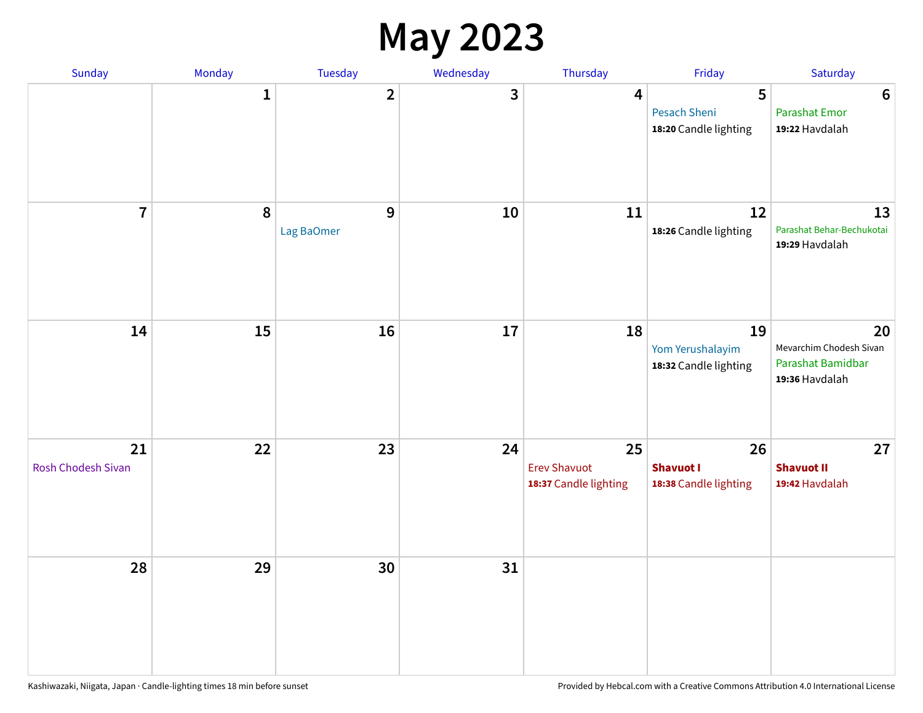#### **May 2023**

| Sunday                   | Monday       | Tuesday                        | Wednesday | Thursday                                           | Friday                                            | Saturday                                                             |
|--------------------------|--------------|--------------------------------|-----------|----------------------------------------------------|---------------------------------------------------|----------------------------------------------------------------------|
|                          | $\mathbf{1}$ | $\overline{\mathbf{2}}$        | 3         | $\overline{\mathbf{4}}$                            | 5<br><b>Pesach Sheni</b><br>18:20 Candle lighting | $\boldsymbol{6}$<br><b>Parashat Emor</b><br>19:22 Havdalah           |
| $\overline{7}$           | $\pmb{8}$    | $\boldsymbol{9}$<br>Lag BaOmer | 10        | 11                                                 | 12<br>18:26 Candle lighting                       | 13<br>Parashat Behar-Bechukotai<br>19:29 Havdalah                    |
| 14                       | 15           | 16                             | 17        | 18                                                 | 19<br>Yom Yerushalayim<br>18:32 Candle lighting   | 20<br>Mevarchim Chodesh Sivan<br>Parashat Bamidbar<br>19:36 Havdalah |
| 21<br>Rosh Chodesh Sivan | 22           | 23                             | 24        | 25<br><b>Erev Shavuot</b><br>18:37 Candle lighting | 26<br><b>Shavuot I</b><br>18:38 Candle lighting   | 27<br><b>Shavuot II</b><br>19:42 Havdalah                            |
| 28                       | 29           | 30                             | 31        |                                                    |                                                   |                                                                      |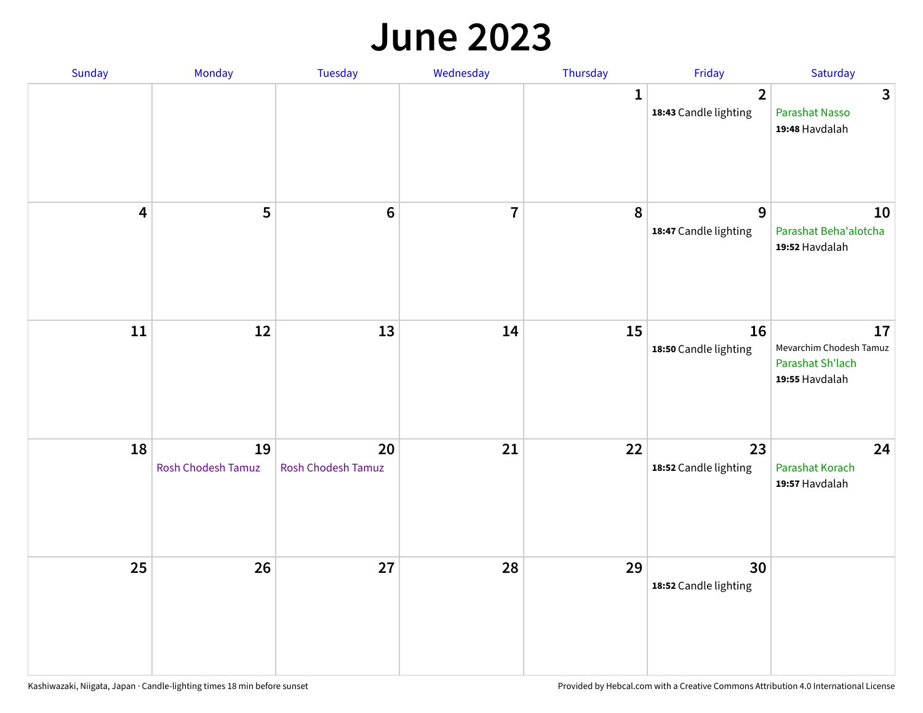#### **June 2023**

| Sunday                  | Monday                   | Tuesday                         | Wednesday      | Thursday     | Friday                                  | Saturday                                                            |
|-------------------------|--------------------------|---------------------------------|----------------|--------------|-----------------------------------------|---------------------------------------------------------------------|
|                         |                          |                                 |                | $\mathbf{1}$ | $\overline{2}$<br>18:43 Candle lighting | $\overline{3}$<br>Parashat Nasso<br>19:48 Havdalah                  |
| $\overline{\mathbf{4}}$ | 5                        | $\bf 6$                         | $\overline{7}$ | 8            | 9<br>18:47 Candle lighting              | 10<br>Parashat Beha'alotcha<br>19:52 Havdalah                       |
| $11\,$                  | 12                       | 13                              | 14             | 15           | 16<br>18:50 Candle lighting             | 17<br>Mevarchim Chodesh Tamuz<br>Parashat Sh'lach<br>19:55 Havdalah |
| 18                      | 19<br>Rosh Chodesh Tamuz | 20<br><b>Rosh Chodesh Tamuz</b> | 21             | 22           | 23<br>18:52 Candle lighting             | 24<br>Parashat Korach<br>19:57 Havdalah                             |
| 25                      | 26                       | 27                              | 28             | 29           | 30<br>18:52 Candle lighting             |                                                                     |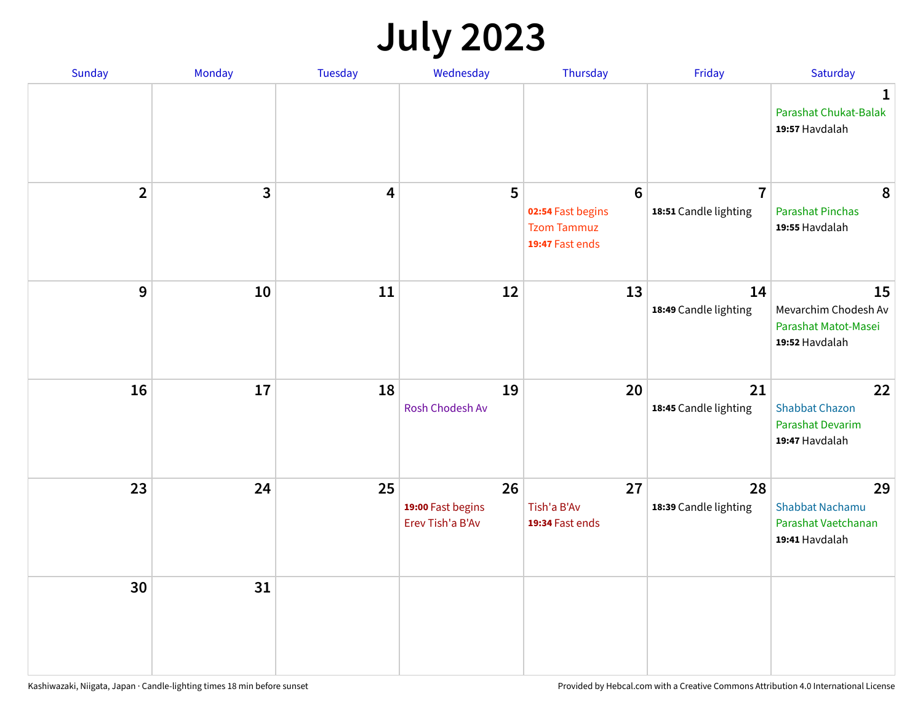## **July 2023**

| Sunday         | Monday       | <b>Tuesday</b>          | Wednesday                                   | Thursday                                                                      | Friday                                  | Saturday                                                              |
|----------------|--------------|-------------------------|---------------------------------------------|-------------------------------------------------------------------------------|-----------------------------------------|-----------------------------------------------------------------------|
|                |              |                         |                                             |                                                                               |                                         | $\mathbf 1$<br>Parashat Chukat-Balak<br>19:57 Havdalah                |
| $\overline{2}$ | $\mathbf{3}$ | $\overline{\mathbf{4}}$ | 5                                           | $6\phantom{1}6$<br>02:54 Fast begins<br><b>Tzom Tammuz</b><br>19:47 Fast ends | $\overline{7}$<br>18:51 Candle lighting | 8<br><b>Parashat Pinchas</b><br>19:55 Havdalah                        |
| 9              | 10           | 11                      | 12                                          | 13                                                                            | 14<br>18:49 Candle lighting             | 15<br>Mevarchim Chodesh Av<br>Parashat Matot-Masei<br>19:52 Havdalah  |
| 16             | 17           | 18                      | 19<br>Rosh Chodesh Av                       | 20                                                                            | 21<br>18:45 Candle lighting             | 22<br><b>Shabbat Chazon</b><br>Parashat Devarim<br>19:47 Havdalah     |
| 23             | 24           | 25                      | 26<br>19:00 Fast begins<br>Erev Tish'a B'Av | 27<br>Tish'a B'Av<br>19:34 Fast ends                                          | 28<br>18:39 Candle lighting             | 29<br><b>Shabbat Nachamu</b><br>Parashat Vaetchanan<br>19:41 Havdalah |
| 30             | 31           |                         |                                             |                                                                               |                                         |                                                                       |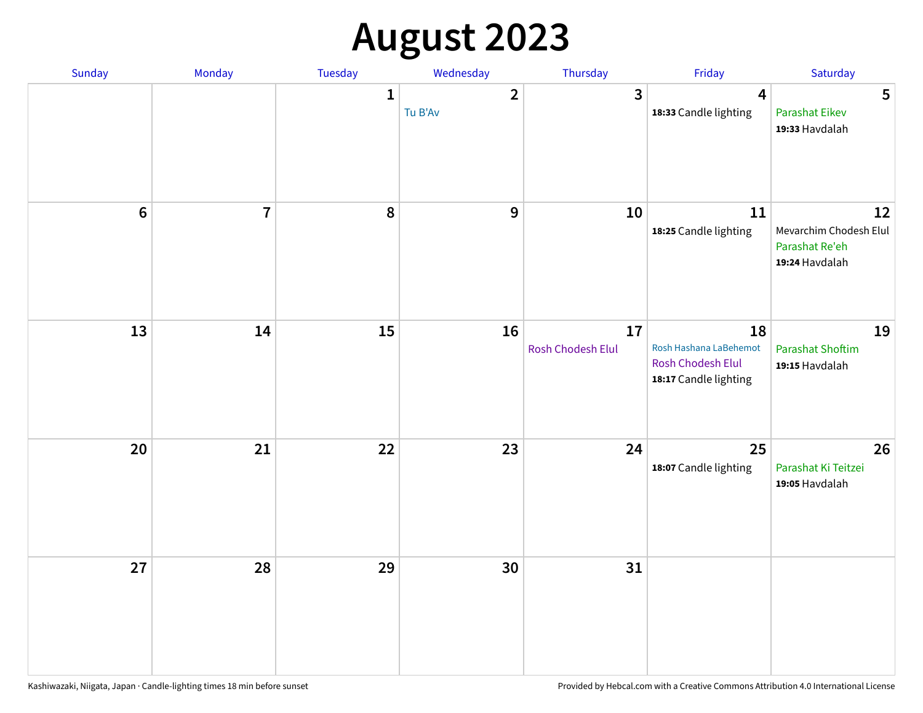# **August 2023**

| Sunday | Monday         | Tuesday      | Wednesday               | Thursday                | Friday                                                                            | Saturday                                                         |
|--------|----------------|--------------|-------------------------|-------------------------|-----------------------------------------------------------------------------------|------------------------------------------------------------------|
|        |                | $\mathbf{1}$ | $\mathbf{2}$<br>Tu B'Av | $\mathbf{3}$            | $\overline{\mathbf{4}}$<br>18:33 Candle lighting                                  | 5<br><b>Parashat Eikev</b><br>19:33 Havdalah                     |
| $6\,$  | $\overline{7}$ | 8            | $\overline{9}$          | 10                      | 11<br>18:25 Candle lighting                                                       | 12<br>Mevarchim Chodesh Elul<br>Parashat Re'eh<br>19:24 Havdalah |
| 13     | 14             | 15           | 16                      | 17<br>Rosh Chodesh Elul | 18<br>Rosh Hashana LaBehemot<br><b>Rosh Chodesh Elul</b><br>18:17 Candle lighting | 19<br><b>Parashat Shoftim</b><br>19:15 Havdalah                  |
| 20     | 21             | 22           | 23                      | 24                      | 25<br>18:07 Candle lighting                                                       | 26<br>Parashat Ki Teitzei<br>19:05 Havdalah                      |
| 27     | 28             | 29           | 30                      | 31                      |                                                                                   |                                                                  |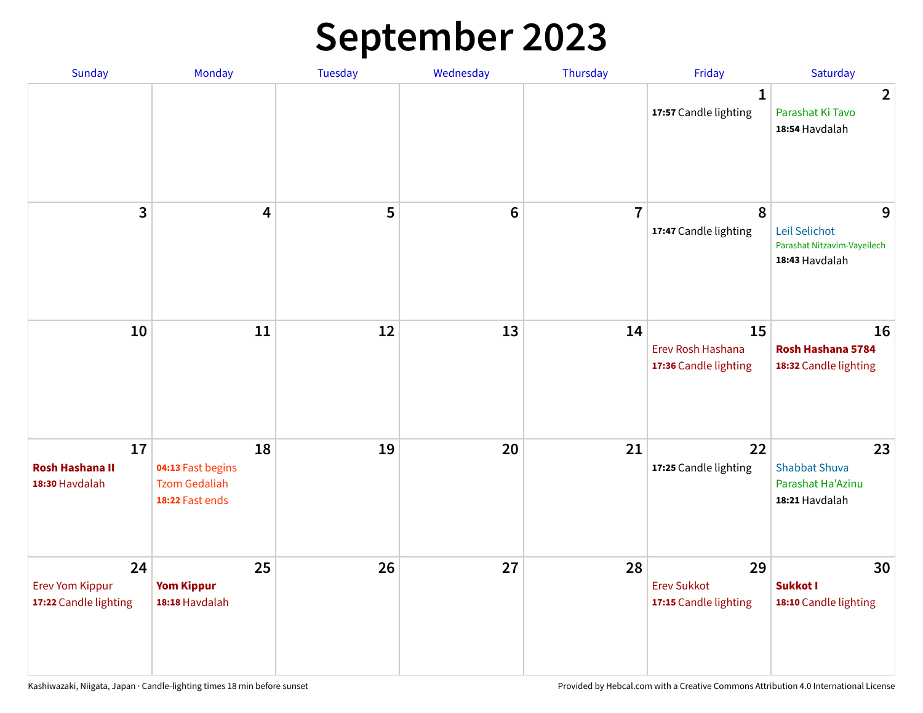## **September 2023**

| Sunday                                                | Monday                                                             | <b>Tuesday</b> | Wednesday       | Thursday       | Friday                                            | Saturday                                                            |
|-------------------------------------------------------|--------------------------------------------------------------------|----------------|-----------------|----------------|---------------------------------------------------|---------------------------------------------------------------------|
|                                                       |                                                                    |                |                 |                | 1<br>17:57 Candle lighting                        | $\overline{2}$<br>Parashat Ki Tavo<br>18:54 Havdalah                |
| 3                                                     | $\overline{\mathbf{4}}$                                            | 5              | $6\phantom{1}6$ | $\overline{7}$ | 8<br>17:47 Candle lighting                        | 9<br>Leil Selichot<br>Parashat Nitzavim-Vayeilech<br>18:43 Havdalah |
| 10                                                    | 11                                                                 | 12             | 13              | 14             | 15<br>Erev Rosh Hashana<br>17:36 Candle lighting  | 16<br>Rosh Hashana 5784<br>18:32 Candle lighting                    |
| 17<br><b>Rosh Hashana II</b><br>18:30 Havdalah        | 18<br>04:13 Fast begins<br><b>Tzom Gedaliah</b><br>18:22 Fast ends | 19             | 20              | 21             | 22<br>17:25 Candle lighting                       | 23<br><b>Shabbat Shuva</b><br>Parashat Ha'Azinu<br>18:21 Havdalah   |
| 24<br><b>Erev Yom Kippur</b><br>17:22 Candle lighting | 25<br><b>Yom Kippur</b><br>18:18 Havdalah                          | 26             | 27              | 28             | 29<br><b>Erev Sukkot</b><br>17:15 Candle lighting | 30<br>Sukkot I<br>18:10 Candle lighting                             |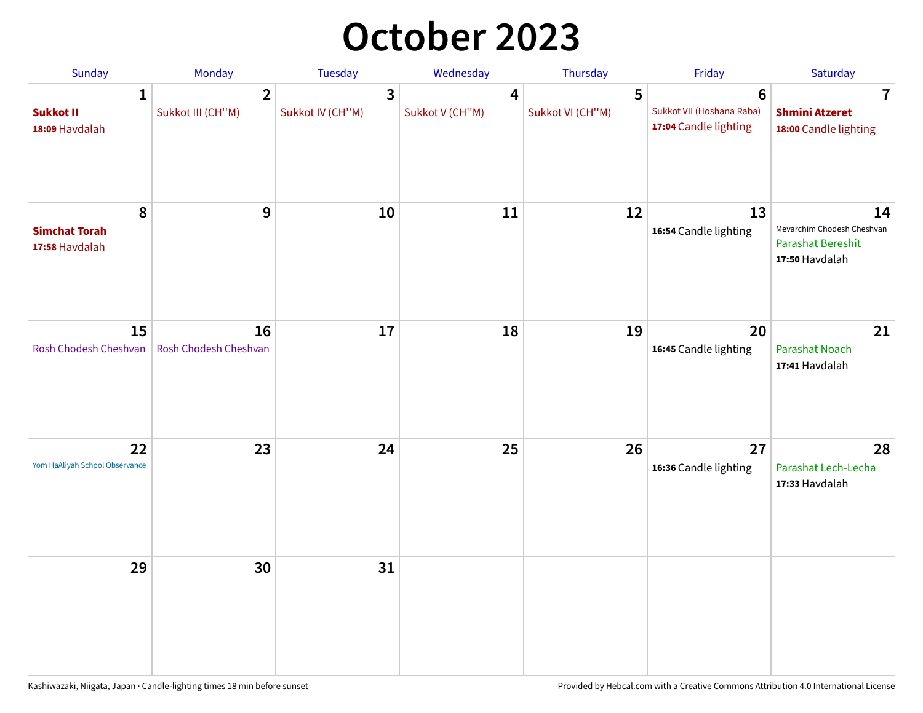### **October 2023**

| Sunday                                             | <b>Monday</b>                       | <b>Tuesday</b>        | Wednesday            | Thursday              | Friday                                                               | Saturday                                                                       |
|----------------------------------------------------|-------------------------------------|-----------------------|----------------------|-----------------------|----------------------------------------------------------------------|--------------------------------------------------------------------------------|
| $\mathbf{1}$<br><b>Sukkot II</b><br>18:09 Havdalah | $\overline{2}$<br>Sukkot III (CH"M) | 3<br>Sukkot IV (CH"M) | 4<br>Sukkot V (CH"M) | 5<br>Sukkot VI (CH"M) | $6\phantom{1}$<br>Sukkot VII (Hoshana Raba)<br>17:04 Candle lighting | 7<br><b>Shmini Atzeret</b><br>18:00 Candle lighting                            |
| 8<br><b>Simchat Torah</b><br>17:58 Havdalah        | $\boldsymbol{9}$                    | 10                    | 11                   | 12                    | 13<br>16:54 Candle lighting                                          | 14<br>Mevarchim Chodesh Cheshvan<br><b>Parashat Bereshit</b><br>17:50 Havdalah |
| 15<br>Rosh Chodesh Cheshvan                        | 16<br>Rosh Chodesh Cheshvan         | 17                    | 18                   | 19                    | 20<br>16:45 Candle lighting                                          | 21<br>Parashat Noach<br>17:41 Havdalah                                         |
| 22<br>Yom HaAliyah School Observance               | 23                                  | 24                    | 25                   | 26                    | 27<br>16:36 Candle lighting                                          | 28<br>Parashat Lech-Lecha<br>17:33 Havdalah                                    |
| 29                                                 | 30                                  | 31                    |                      |                       |                                                                      |                                                                                |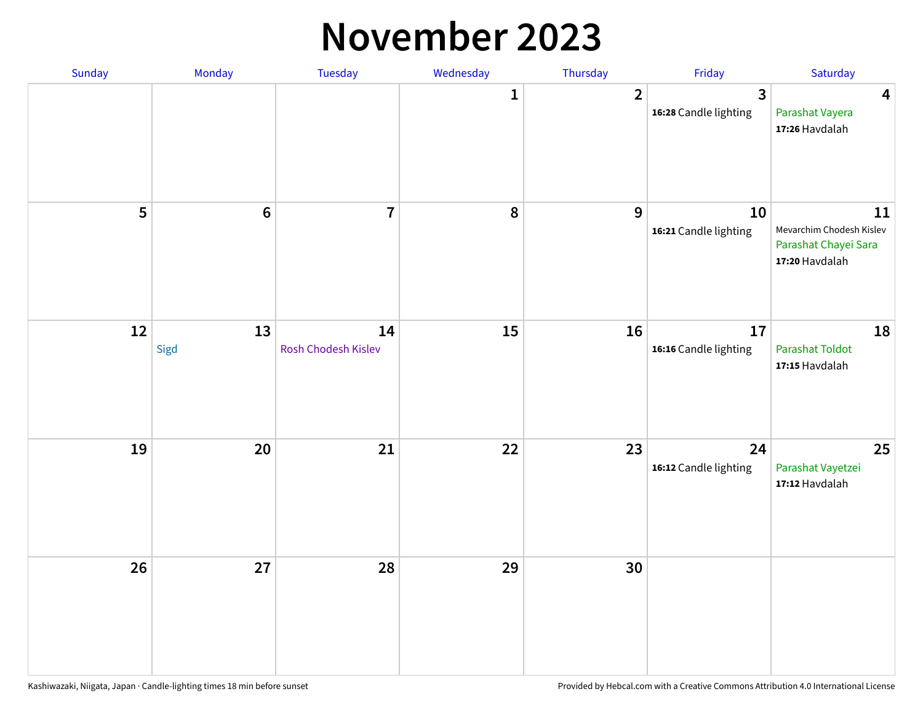#### **November 2023**

| Sunday | Monday          | Tuesday                   | Wednesday    | Thursday       | Friday                      | Saturday                                                                 |
|--------|-----------------|---------------------------|--------------|----------------|-----------------------------|--------------------------------------------------------------------------|
|        |                 |                           | $\mathbf{1}$ | $\overline{2}$ | 3<br>16:28 Candle lighting  | $\overline{\mathbf{4}}$<br>Parashat Vayera<br>17:26 Havdalah             |
| 5      | $6\phantom{1}6$ | $\overline{7}$            | 8            | 9              | 10<br>16:21 Candle lighting | 11<br>Mevarchim Chodesh Kislev<br>Parashat Chayei Sara<br>17:20 Havdalah |
| 12     | 13<br>Sigd      | 14<br>Rosh Chodesh Kislev | 15           | 16             | 17<br>16:16 Candle lighting | 18<br><b>Parashat Toldot</b><br>17:15 Havdalah                           |
| 19     | 20              | 21                        | 22           | 23             | 24<br>16:12 Candle lighting | 25<br>Parashat Vayetzei<br>17:12 Havdalah                                |
| 26     | 27              | 28                        | 29           | 30             |                             |                                                                          |